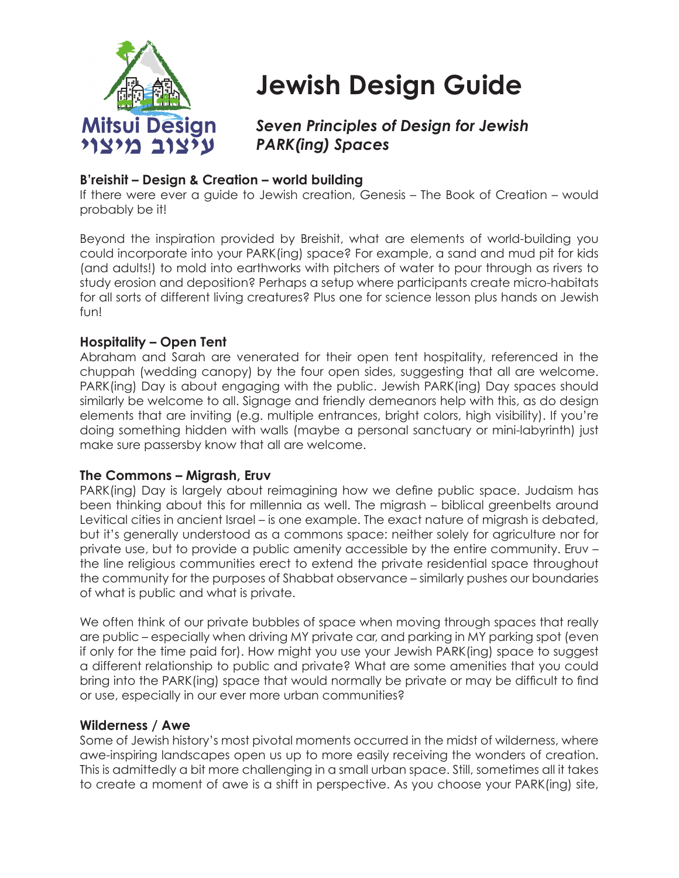

# **Jewish Design Guide**

# *Seven Principles of Design for Jewish PARK(ing) Spaces*

# **B'reishit – Design & Creation – world building**

If there were ever a guide to Jewish creation, Genesis – The Book of Creation – would probably be it!

Beyond the inspiration provided by Breishit, what are elements of world-building you could incorporate into your PARK(ing) space? For example, a sand and mud pit for kids (and adults!) to mold into earthworks with pitchers of water to pour through as rivers to study erosion and deposition? Perhaps a setup where participants create micro-habitats for all sorts of different living creatures? Plus one for science lesson plus hands on Jewish fun!

# **Hospitality – Open Tent**

Abraham and Sarah are venerated for their open tent hospitality, referenced in the chuppah (wedding canopy) by the four open sides, suggesting that all are welcome. PARK(ing) Day is about engaging with the public. Jewish PARK(ing) Day spaces should similarly be welcome to all. Signage and friendly demeanors help with this, as do design elements that are inviting (e.g. multiple entrances, bright colors, high visibility). If you're doing something hidden with walls (maybe a personal sanctuary or mini-labyrinth) just make sure passersby know that all are welcome.

# **The Commons – Migrash, Eruv**

PARK(ing) Day is largely about reimagining how we define public space. Judaism has been thinking about this for millennia as well. The migrash – biblical greenbelts around Levitical cities in ancient Israel – is one example. The exact nature of migrash is debated, but it's generally understood as a commons space: neither solely for agriculture nor for private use, but to provide a public amenity accessible by the entire community. Eruv – the line religious communities erect to extend the private residential space throughout the community for the purposes of Shabbat observance – similarly pushes our boundaries of what is public and what is private.

We often think of our private bubbles of space when moving through spaces that really are public – especially when driving MY private car, and parking in MY parking spot (even if only for the time paid for). How might you use your Jewish PARK(ing) space to suggest a different relationship to public and private? What are some amenities that you could bring into the PARK(ing) space that would normally be private or may be difficult to find or use, especially in our ever more urban communities?

# **Wilderness / Awe**

Some of Jewish history's most pivotal moments occurred in the midst of wilderness, where awe-inspiring landscapes open us up to more easily receiving the wonders of creation. This is admittedly a bit more challenging in a small urban space. Still, sometimes all it takes to create a moment of awe is a shift in perspective. As you choose your PARK(ing) site,